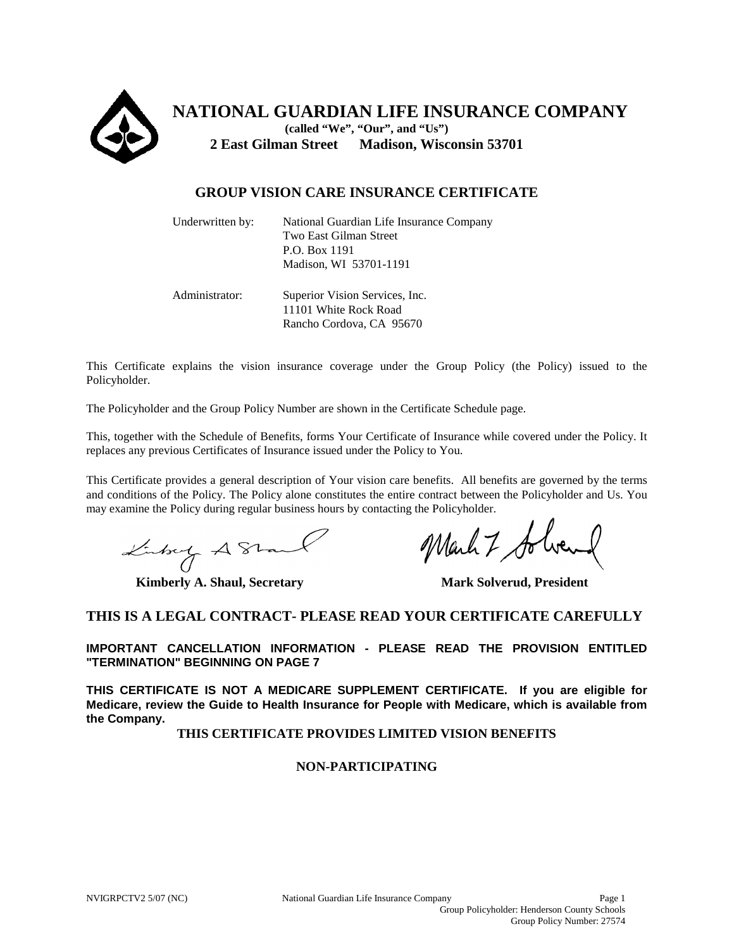

**NATIONAL GUARDIAN LIFE INSURANCE COMPANY (called "We", "Our", and "Us") 2 East Gilman Street Madison, Wisconsin 53701** 

# **GROUP VISION CARE INSURANCE CERTIFICATE**

| Underwritten by: | National Guardian Life Insurance Company<br>Two East Gilman Street<br>P.O. Box 1191<br>Madison, WI 53701-1191 |
|------------------|---------------------------------------------------------------------------------------------------------------|
| Administrator:   | Superior Vision Services, Inc.<br>11101 White Rock Road<br>Rancho Cordova, CA 95670                           |

This Certificate explains the vision insurance coverage under the Group Policy (the Policy) issued to the Policyholder.

The Policyholder and the Group Policy Number are shown in the Certificate Schedule page.

This, together with the Schedule of Benefits, forms Your Certificate of Insurance while covered under the Policy. It replaces any previous Certificates of Insurance issued under the Policy to You.

This Certificate provides a general description of Your vision care benefits. All benefits are governed by the terms and conditions of the Policy. The Policy alone constitutes the entire contract between the Policyholder and Us. You may examine the Policy during regular business hours by contacting the Policyholder.

Linkey A Stand

**Kimberly A. Shaul, Secretary Mark Solverud, President** 

Mark 7 Johne

## **THIS IS A LEGAL CONTRACT- PLEASE READ YOUR CERTIFICATE CAREFULLY**

**IMPORTANT CANCELLATION INFORMATION - PLEASE READ THE PROVISION ENTITLED "TERMINATION" BEGINNING ON PAGE 7**

**THIS CERTIFICATE IS NOT A MEDICARE SUPPLEMENT CERTIFICATE. If you are eligible for Medicare, review the Guide to Health Insurance for People with Medicare, which is available from the Company.** 

**THIS CERTIFICATE PROVIDES LIMITED VISION BENEFITS** 

## **NON-PARTICIPATING**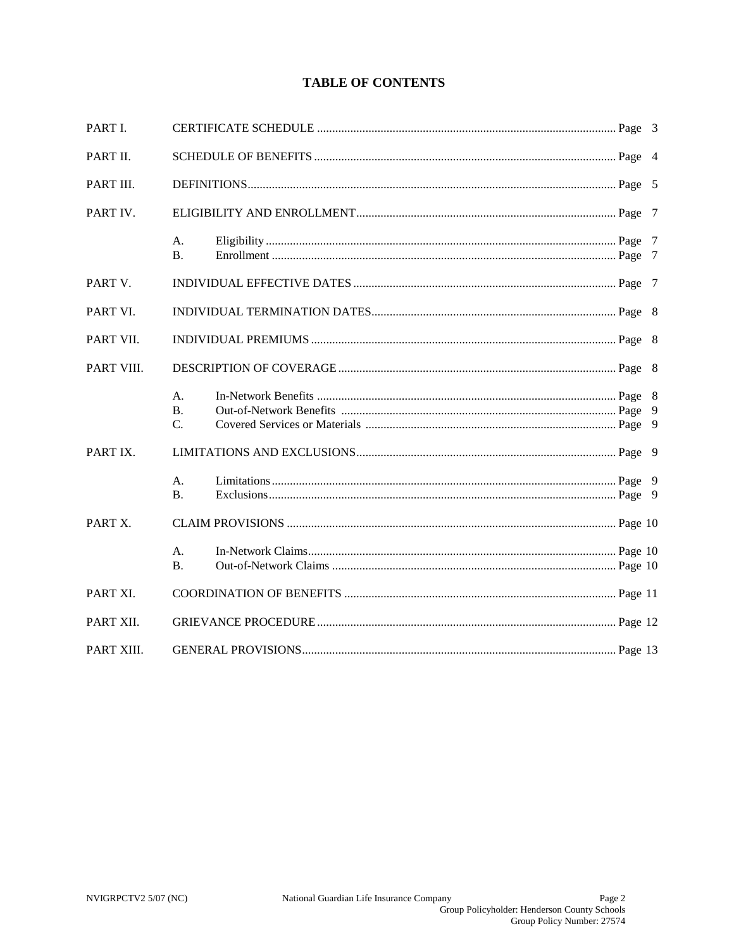# **TABLE OF CONTENTS**

| PART I.    |                       |  |  |  |
|------------|-----------------------|--|--|--|
| PART II.   |                       |  |  |  |
| PART III.  |                       |  |  |  |
| PART IV.   |                       |  |  |  |
|            | A.<br><b>B.</b>       |  |  |  |
| PART V.    |                       |  |  |  |
| PART VI.   |                       |  |  |  |
| PART VII.  |                       |  |  |  |
| PART VIII. |                       |  |  |  |
|            | А.<br><b>B.</b><br>C. |  |  |  |
| PART IX.   |                       |  |  |  |
|            | А.<br><b>B.</b>       |  |  |  |
| PART X.    |                       |  |  |  |
|            | A.<br><b>B.</b>       |  |  |  |
| PART XI.   |                       |  |  |  |
| PART XII.  |                       |  |  |  |
| PART XIII. |                       |  |  |  |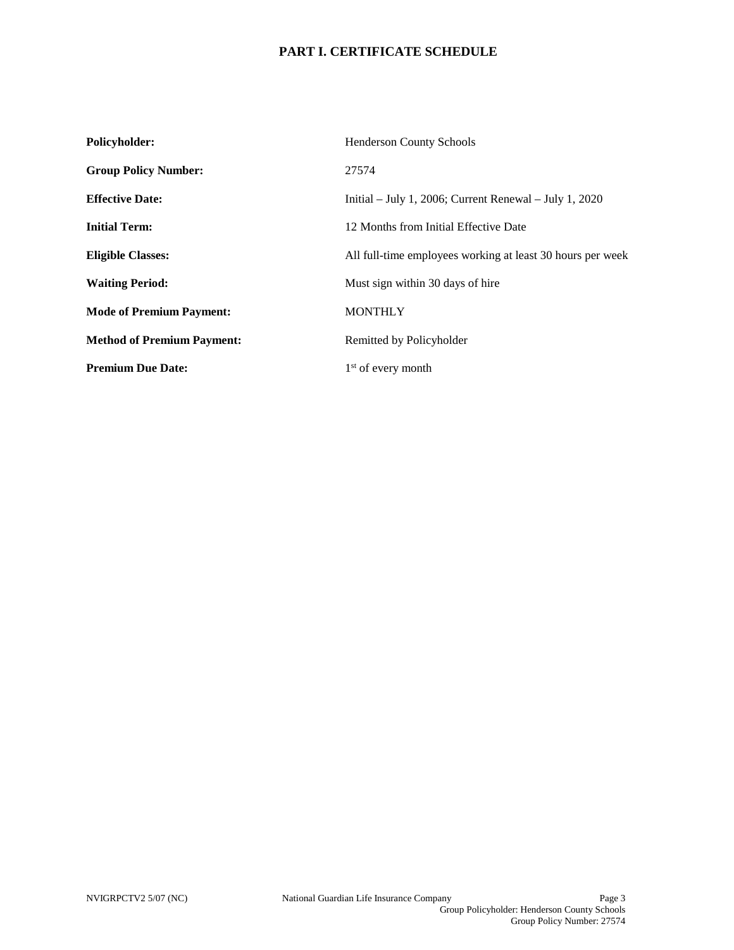# **PART I. CERTIFICATE SCHEDULE**

| Policyholder:                     | <b>Henderson County Schools</b>                            |
|-----------------------------------|------------------------------------------------------------|
| <b>Group Policy Number:</b>       | 27574                                                      |
| <b>Effective Date:</b>            | Initial – July 1, 2006; Current Renewal – July 1, 2020     |
| <b>Initial Term:</b>              | 12 Months from Initial Effective Date                      |
| <b>Eligible Classes:</b>          | All full-time employees working at least 30 hours per week |
| <b>Waiting Period:</b>            | Must sign within 30 days of hire                           |
| <b>Mode of Premium Payment:</b>   | <b>MONTHLY</b>                                             |
| <b>Method of Premium Payment:</b> | Remitted by Policyholder                                   |
| <b>Premium Due Date:</b>          | $1st$ of every month                                       |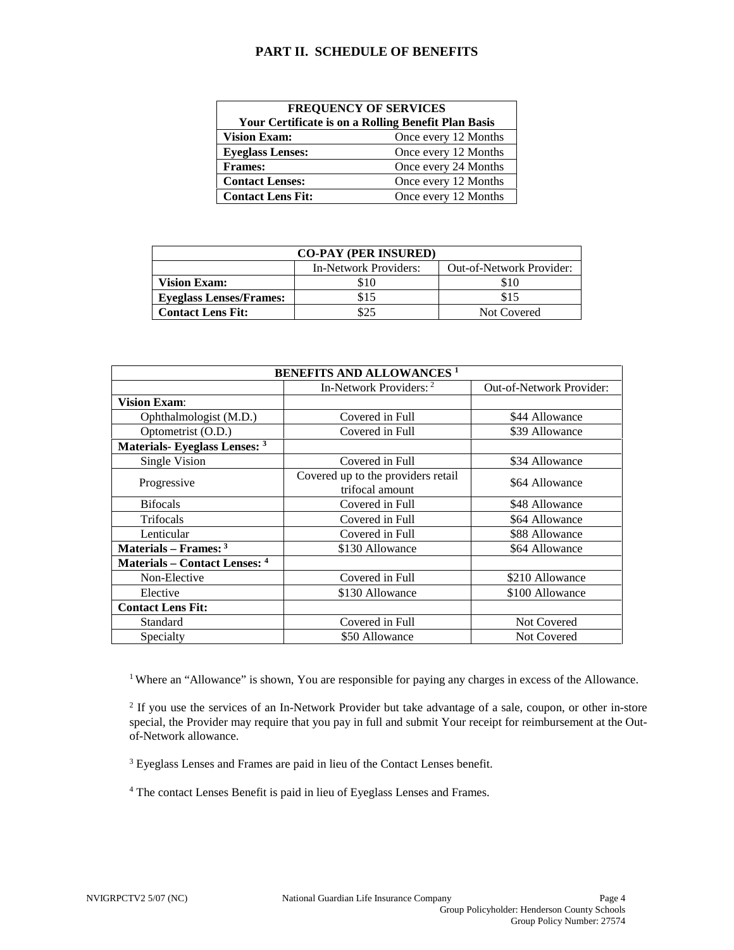## **PART II. SCHEDULE OF BENEFITS**

| <b>FREQUENCY OF SERVICES</b>                               |                      |  |  |
|------------------------------------------------------------|----------------------|--|--|
| <b>Your Certificate is on a Rolling Benefit Plan Basis</b> |                      |  |  |
| <b>Vision Exam:</b>                                        | Once every 12 Months |  |  |
| <b>Eyeglass Lenses:</b>                                    | Once every 12 Months |  |  |
| <b>Frames:</b>                                             | Once every 24 Months |  |  |
| <b>Contact Lenses:</b>                                     | Once every 12 Months |  |  |
| <b>Contact Lens Fit:</b>                                   | Once every 12 Months |  |  |

| <b>CO-PAY (PER INSURED)</b>    |                       |                          |  |  |
|--------------------------------|-----------------------|--------------------------|--|--|
|                                | In-Network Providers: | Out-of-Network Provider: |  |  |
| <b>Vision Exam:</b>            | \$10                  | \$10                     |  |  |
| <b>Eyeglass Lenses/Frames:</b> | \$15                  | \$15                     |  |  |
| <b>Contact Lens Fit:</b>       |                       | Not Covered              |  |  |

| <b>BENEFITS AND ALLOWANCES<sup>1</sup></b> |                                                       |                                 |  |
|--------------------------------------------|-------------------------------------------------------|---------------------------------|--|
|                                            | In-Network Providers: 2                               | <b>Out-of-Network Provider:</b> |  |
| <b>Vision Exam:</b>                        |                                                       |                                 |  |
| Ophthalmologist (M.D.)                     | Covered in Full                                       | \$44 Allowance                  |  |
| Optometrist (O.D.)                         | Covered in Full                                       | \$39 Allowance                  |  |
| Materials- Eyeglass Lenses: 3              |                                                       |                                 |  |
| Single Vision                              | Covered in Full                                       | \$34 Allowance                  |  |
| Progressive                                | Covered up to the providers retail<br>trifocal amount | \$64 Allowance                  |  |
| <b>Bifocals</b>                            | Covered in Full                                       | \$48 Allowance                  |  |
| Trifocals                                  | Covered in Full                                       | \$64 Allowance                  |  |
| Lenticular                                 | Covered in Full                                       | \$88 Allowance                  |  |
| Materials – Frames: $3$                    | \$130 Allowance                                       | \$64 Allowance                  |  |
| <b>Materials – Contact Lenses: 4</b>       |                                                       |                                 |  |
| Non-Elective                               | Covered in Full                                       | \$210 Allowance                 |  |
| Elective                                   | \$130 Allowance                                       | \$100 Allowance                 |  |
| <b>Contact Lens Fit:</b>                   |                                                       |                                 |  |
| Standard                                   | Covered in Full                                       | <b>Not Covered</b>              |  |
| Specialty                                  | \$50 Allowance                                        | Not Covered                     |  |

<sup>1</sup> Where an "Allowance" is shown, You are responsible for paying any charges in excess of the Allowance.

<sup>2</sup> If you use the services of an In-Network Provider but take advantage of a sale, coupon, or other in-store special, the Provider may require that you pay in full and submit Your receipt for reimbursement at the Outof-Network allowance.

<sup>3</sup> Eyeglass Lenses and Frames are paid in lieu of the Contact Lenses benefit.

<sup>4</sup> The contact Lenses Benefit is paid in lieu of Eyeglass Lenses and Frames.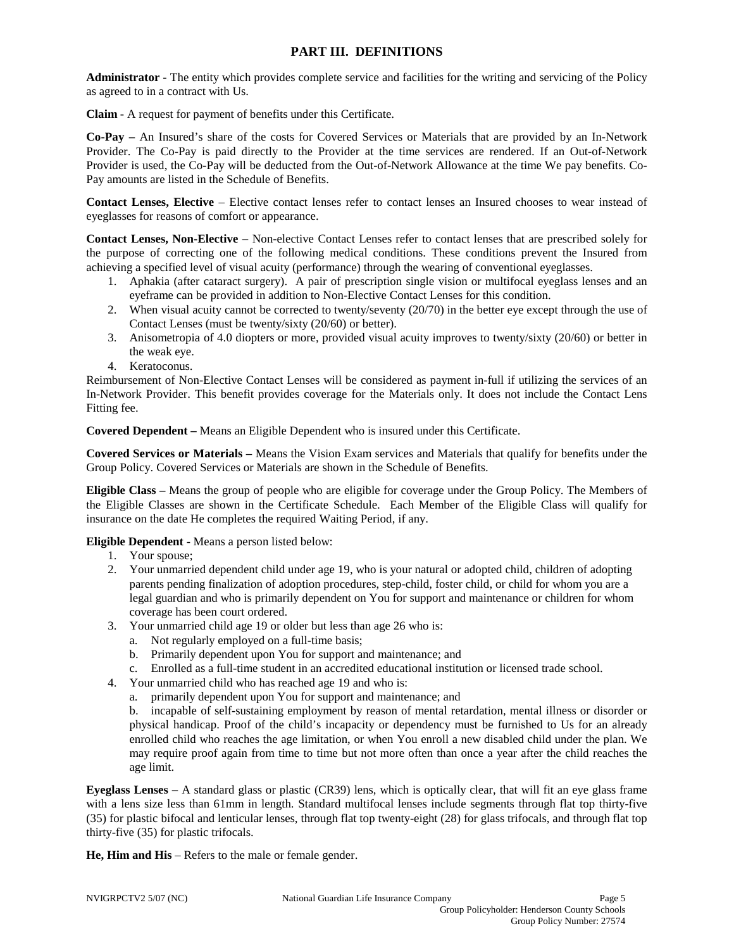## **PART III. DEFINITIONS**

**Administrator -** The entity which provides complete service and facilities for the writing and servicing of the Policy as agreed to in a contract with Us.

**Claim -** A request for payment of benefits under this Certificate.

**Co-Pay –** An Insured's share of the costs for Covered Services or Materials that are provided by an In-Network Provider. The Co-Pay is paid directly to the Provider at the time services are rendered. If an Out-of-Network Provider is used, the Co-Pay will be deducted from the Out-of-Network Allowance at the time We pay benefits. Co-Pay amounts are listed in the Schedule of Benefits.

**Contact Lenses, Elective** – Elective contact lenses refer to contact lenses an Insured chooses to wear instead of eyeglasses for reasons of comfort or appearance.

**Contact Lenses, Non-Elective** – Non-elective Contact Lenses refer to contact lenses that are prescribed solely for the purpose of correcting one of the following medical conditions. These conditions prevent the Insured from achieving a specified level of visual acuity (performance) through the wearing of conventional eyeglasses.

- 1. Aphakia (after cataract surgery). A pair of prescription single vision or multifocal eyeglass lenses and an eyeframe can be provided in addition to Non-Elective Contact Lenses for this condition.
- 2. When visual acuity cannot be corrected to twenty/seventy (20/70) in the better eye except through the use of Contact Lenses (must be twenty/sixty (20/60) or better).
- 3. Anisometropia of 4.0 diopters or more, provided visual acuity improves to twenty/sixty (20/60) or better in the weak eye.
- 4. Keratoconus.

Reimbursement of Non-Elective Contact Lenses will be considered as payment in-full if utilizing the services of an In-Network Provider. This benefit provides coverage for the Materials only. It does not include the Contact Lens Fitting fee.

**Covered Dependent –** Means an Eligible Dependent who is insured under this Certificate.

**Covered Services or Materials –** Means the Vision Exam services and Materials that qualify for benefits under the Group Policy. Covered Services or Materials are shown in the Schedule of Benefits.

**Eligible Class –** Means the group of people who are eligible for coverage under the Group Policy. The Members of the Eligible Classes are shown in the Certificate Schedule. Each Member of the Eligible Class will qualify for insurance on the date He completes the required Waiting Period, if any.

## **Eligible Dependent** - Means a person listed below:

- 1. Your spouse;
- 2. Your unmarried dependent child under age 19, who is your natural or adopted child, children of adopting parents pending finalization of adoption procedures, step-child, foster child, or child for whom you are a legal guardian and who is primarily dependent on You for support and maintenance or children for whom coverage has been court ordered.
- 3. Your unmarried child age 19 or older but less than age 26 who is:
	- a. Not regularly employed on a full-time basis;
	- b. Primarily dependent upon You for support and maintenance; and
	- c. Enrolled as a full-time student in an accredited educational institution or licensed trade school.
- 4. Your unmarried child who has reached age 19 and who is:
	- a. primarily dependent upon You for support and maintenance; and

b. incapable of self-sustaining employment by reason of mental retardation, mental illness or disorder or physical handicap. Proof of the child's incapacity or dependency must be furnished to Us for an already enrolled child who reaches the age limitation, or when You enroll a new disabled child under the plan. We may require proof again from time to time but not more often than once a year after the child reaches the age limit.

**Eyeglass Lenses** – A standard glass or plastic (CR39) lens, which is optically clear, that will fit an eye glass frame with a lens size less than 61mm in length. Standard multifocal lenses include segments through flat top thirty-five (35) for plastic bifocal and lenticular lenses, through flat top twenty-eight (28) for glass trifocals, and through flat top thirty-five (35) for plastic trifocals.

**He, Him and His** – Refers to the male or female gender.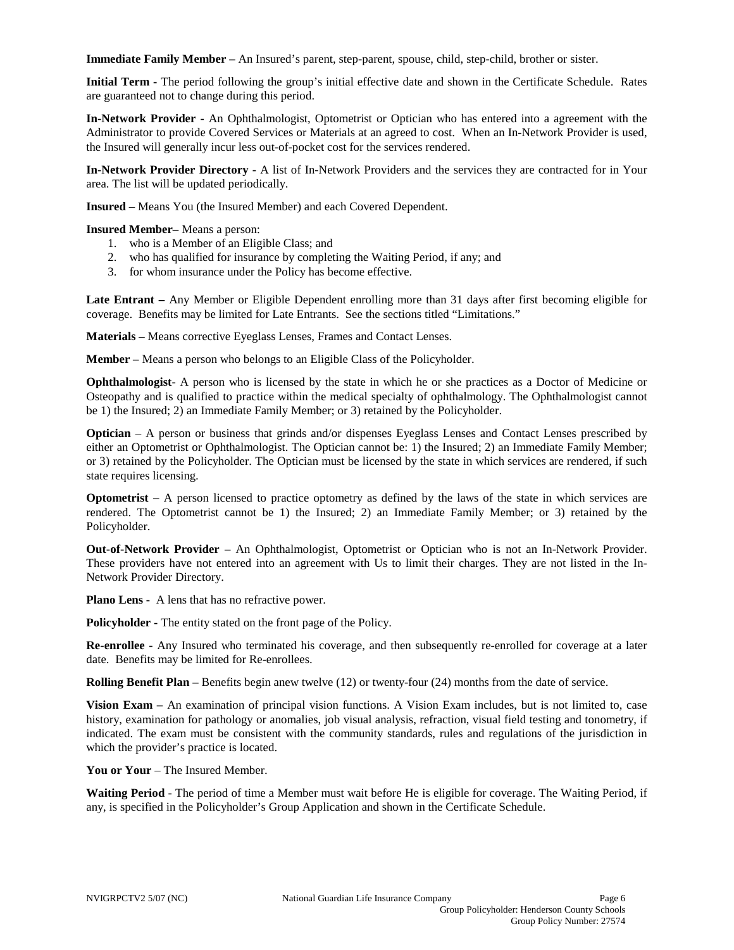**Immediate Family Member –** An Insured's parent, step-parent, spouse, child, step-child, brother or sister.

**Initial Term -** The period following the group's initial effective date and shown in the Certificate Schedule. Rates are guaranteed not to change during this period.

**In-Network Provider -** An Ophthalmologist, Optometrist or Optician who has entered into a agreement with the Administrator to provide Covered Services or Materials at an agreed to cost. When an In-Network Provider is used, the Insured will generally incur less out-of-pocket cost for the services rendered.

**In-Network Provider Directory -** A list of In-Network Providers and the services they are contracted for in Your area. The list will be updated periodically.

**Insured** – Means You (the Insured Member) and each Covered Dependent.

**Insured Member–** Means a person:

- 1. who is a Member of an Eligible Class; and
- 2. who has qualified for insurance by completing the Waiting Period, if any; and
- 3. for whom insurance under the Policy has become effective.

**Late Entrant –** Any Member or Eligible Dependent enrolling more than 31 days after first becoming eligible for coverage. Benefits may be limited for Late Entrants. See the sections titled "Limitations."

**Materials –** Means corrective Eyeglass Lenses, Frames and Contact Lenses.

**Member –** Means a person who belongs to an Eligible Class of the Policyholder.

**Ophthalmologist**- A person who is licensed by the state in which he or she practices as a Doctor of Medicine or Osteopathy and is qualified to practice within the medical specialty of ophthalmology. The Ophthalmologist cannot be 1) the Insured; 2) an Immediate Family Member; or 3) retained by the Policyholder.

**Optician** – A person or business that grinds and/or dispenses Eyeglass Lenses and Contact Lenses prescribed by either an Optometrist or Ophthalmologist. The Optician cannot be: 1) the Insured; 2) an Immediate Family Member; or 3) retained by the Policyholder. The Optician must be licensed by the state in which services are rendered, if such state requires licensing.

**Optometrist** – A person licensed to practice optometry as defined by the laws of the state in which services are rendered. The Optometrist cannot be 1) the Insured; 2) an Immediate Family Member; or 3) retained by the Policyholder.

**Out-of-Network Provider –** An Ophthalmologist, Optometrist or Optician who is not an In-Network Provider. These providers have not entered into an agreement with Us to limit their charges. They are not listed in the In-Network Provider Directory.

**Plano Lens -** A lens that has no refractive power.

**Policyholder -** The entity stated on the front page of the Policy.

**Re-enrollee -** Any Insured who terminated his coverage, and then subsequently re-enrolled for coverage at a later date. Benefits may be limited for Re-enrollees.

**Rolling Benefit Plan –** Benefits begin anew twelve (12) or twenty-four (24) months from the date of service.

**Vision Exam –** An examination of principal vision functions. A Vision Exam includes, but is not limited to, case history, examination for pathology or anomalies, job visual analysis, refraction, visual field testing and tonometry, if indicated. The exam must be consistent with the community standards, rules and regulations of the jurisdiction in which the provider's practice is located.

**You or Your** – The Insured Member.

**Waiting Period** - The period of time a Member must wait before He is eligible for coverage. The Waiting Period, if any, is specified in the Policyholder's Group Application and shown in the Certificate Schedule.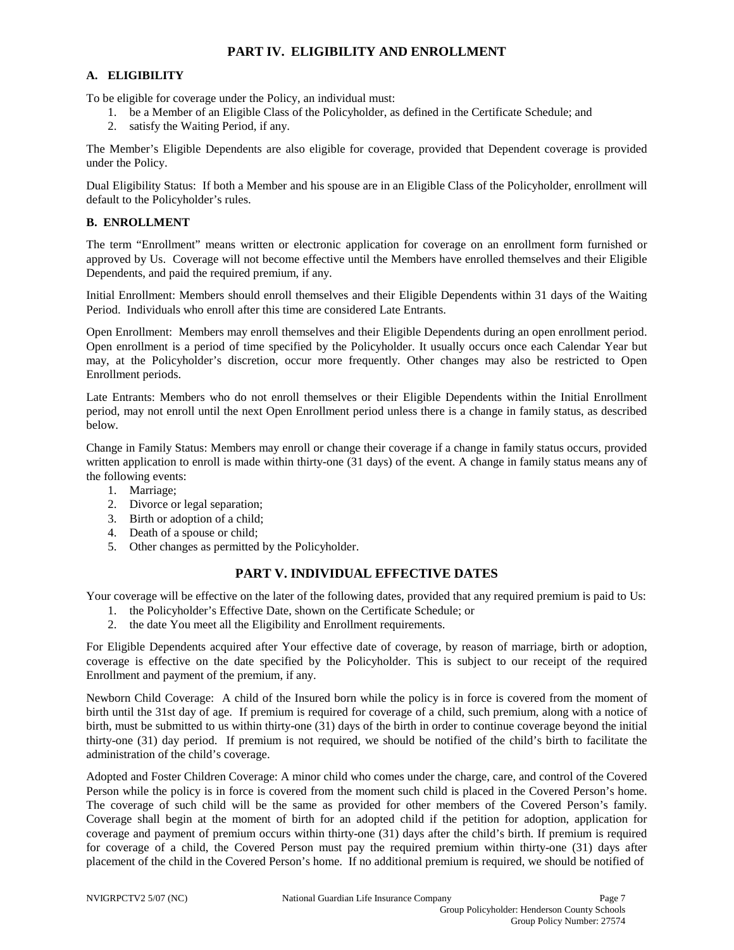## **PART IV. ELIGIBILITY AND ENROLLMENT**

## **A. ELIGIBILITY**

To be eligible for coverage under the Policy, an individual must:

- 1. be a Member of an Eligible Class of the Policyholder, as defined in the Certificate Schedule; and
- 2. satisfy the Waiting Period, if any.

The Member's Eligible Dependents are also eligible for coverage, provided that Dependent coverage is provided under the Policy.

Dual Eligibility Status: If both a Member and his spouse are in an Eligible Class of the Policyholder, enrollment will default to the Policyholder's rules.

### **B. ENROLLMENT**

The term "Enrollment" means written or electronic application for coverage on an enrollment form furnished or approved by Us. Coverage will not become effective until the Members have enrolled themselves and their Eligible Dependents, and paid the required premium, if any.

Initial Enrollment: Members should enroll themselves and their Eligible Dependents within 31 days of the Waiting Period. Individuals who enroll after this time are considered Late Entrants.

Open Enrollment: Members may enroll themselves and their Eligible Dependents during an open enrollment period. Open enrollment is a period of time specified by the Policyholder. It usually occurs once each Calendar Year but may, at the Policyholder's discretion, occur more frequently. Other changes may also be restricted to Open Enrollment periods.

Late Entrants: Members who do not enroll themselves or their Eligible Dependents within the Initial Enrollment period, may not enroll until the next Open Enrollment period unless there is a change in family status, as described below.

Change in Family Status: Members may enroll or change their coverage if a change in family status occurs, provided written application to enroll is made within thirty-one (31 days) of the event. A change in family status means any of the following events:

- 1. Marriage;
- 2. Divorce or legal separation;
- 3. Birth or adoption of a child;
- 4. Death of a spouse or child;
- 5. Other changes as permitted by the Policyholder.

## **PART V. INDIVIDUAL EFFECTIVE DATES**

Your coverage will be effective on the later of the following dates, provided that any required premium is paid to Us:

- 1. the Policyholder's Effective Date, shown on the Certificate Schedule; or
- 2. the date You meet all the Eligibility and Enrollment requirements.

For Eligible Dependents acquired after Your effective date of coverage, by reason of marriage, birth or adoption, coverage is effective on the date specified by the Policyholder. This is subject to our receipt of the required Enrollment and payment of the premium, if any.

Newborn Child Coverage: A child of the Insured born while the policy is in force is covered from the moment of birth until the 31st day of age. If premium is required for coverage of a child, such premium, along with a notice of birth, must be submitted to us within thirty-one (31) days of the birth in order to continue coverage beyond the initial thirty-one (31) day period. If premium is not required, we should be notified of the child's birth to facilitate the administration of the child's coverage.

Adopted and Foster Children Coverage: A minor child who comes under the charge, care, and control of the Covered Person while the policy is in force is covered from the moment such child is placed in the Covered Person's home. The coverage of such child will be the same as provided for other members of the Covered Person's family. Coverage shall begin at the moment of birth for an adopted child if the petition for adoption, application for coverage and payment of premium occurs within thirty-one (31) days after the child's birth. If premium is required for coverage of a child, the Covered Person must pay the required premium within thirty-one (31) days after placement of the child in the Covered Person's home. If no additional premium is required, we should be notified of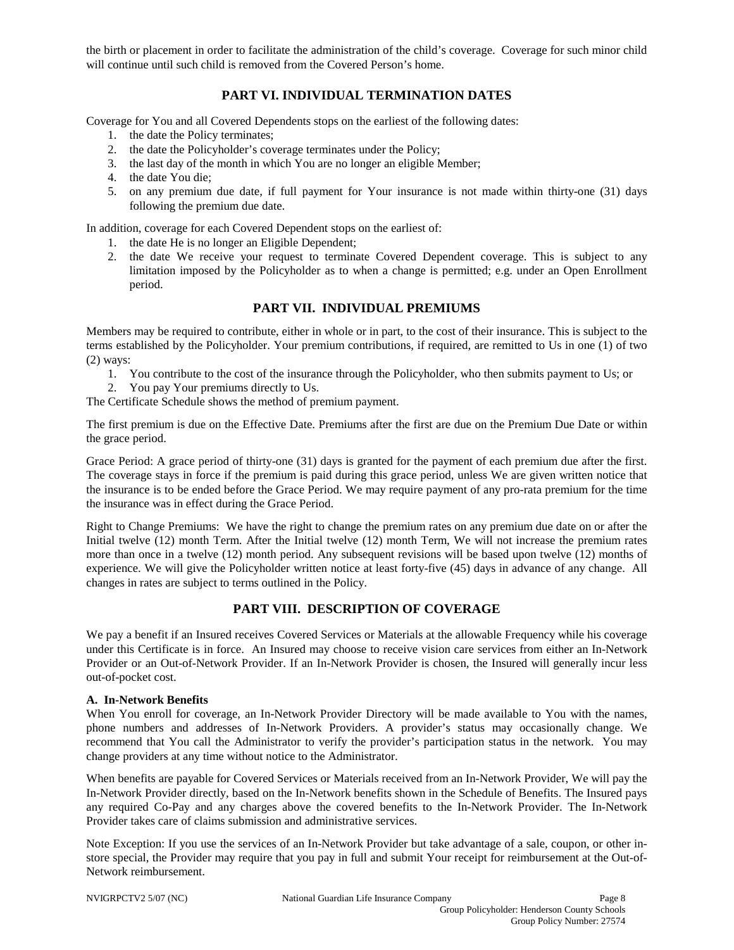the birth or placement in order to facilitate the administration of the child's coverage. Coverage for such minor child will continue until such child is removed from the Covered Person's home.

# **PART VI. INDIVIDUAL TERMINATION DATES**

Coverage for You and all Covered Dependents stops on the earliest of the following dates:

- 1. the date the Policy terminates;
- 2. the date the Policyholder's coverage terminates under the Policy;
- 3. the last day of the month in which You are no longer an eligible Member;
- 4. the date You die;
- 5. on any premium due date, if full payment for Your insurance is not made within thirty-one (31) days following the premium due date.

In addition, coverage for each Covered Dependent stops on the earliest of:

- 1. the date He is no longer an Eligible Dependent;
- 2. the date We receive your request to terminate Covered Dependent coverage. This is subject to any limitation imposed by the Policyholder as to when a change is permitted; e.g. under an Open Enrollment period.

## **PART VII. INDIVIDUAL PREMIUMS**

Members may be required to contribute, either in whole or in part, to the cost of their insurance. This is subject to the terms established by the Policyholder. Your premium contributions, if required, are remitted to Us in one (1) of two (2) ways:

- 1. You contribute to the cost of the insurance through the Policyholder, who then submits payment to Us; or
- 2. You pay Your premiums directly to Us.

The Certificate Schedule shows the method of premium payment.

The first premium is due on the Effective Date. Premiums after the first are due on the Premium Due Date or within the grace period.

Grace Period: A grace period of thirty-one (31) days is granted for the payment of each premium due after the first. The coverage stays in force if the premium is paid during this grace period, unless We are given written notice that the insurance is to be ended before the Grace Period. We may require payment of any pro-rata premium for the time the insurance was in effect during the Grace Period.

Right to Change Premiums: We have the right to change the premium rates on any premium due date on or after the Initial twelve (12) month Term. After the Initial twelve (12) month Term, We will not increase the premium rates more than once in a twelve (12) month period. Any subsequent revisions will be based upon twelve (12) months of experience. We will give the Policyholder written notice at least forty-five (45) days in advance of any change. All changes in rates are subject to terms outlined in the Policy.

## **PART VIII. DESCRIPTION OF COVERAGE**

We pay a benefit if an Insured receives Covered Services or Materials at the allowable Frequency while his coverage under this Certificate is in force. An Insured may choose to receive vision care services from either an In-Network Provider or an Out-of-Network Provider. If an In-Network Provider is chosen, the Insured will generally incur less out-of-pocket cost.

#### **A. In-Network Benefits**

When You enroll for coverage, an In-Network Provider Directory will be made available to You with the names, phone numbers and addresses of In-Network Providers. A provider's status may occasionally change. We recommend that You call the Administrator to verify the provider's participation status in the network. You may change providers at any time without notice to the Administrator.

When benefits are payable for Covered Services or Materials received from an In-Network Provider, We will pay the In-Network Provider directly, based on the In-Network benefits shown in the Schedule of Benefits. The Insured pays any required Co-Pay and any charges above the covered benefits to the In-Network Provider. The In-Network Provider takes care of claims submission and administrative services.

Note Exception: If you use the services of an In-Network Provider but take advantage of a sale, coupon, or other instore special, the Provider may require that you pay in full and submit Your receipt for reimbursement at the Out-of-Network reimbursement.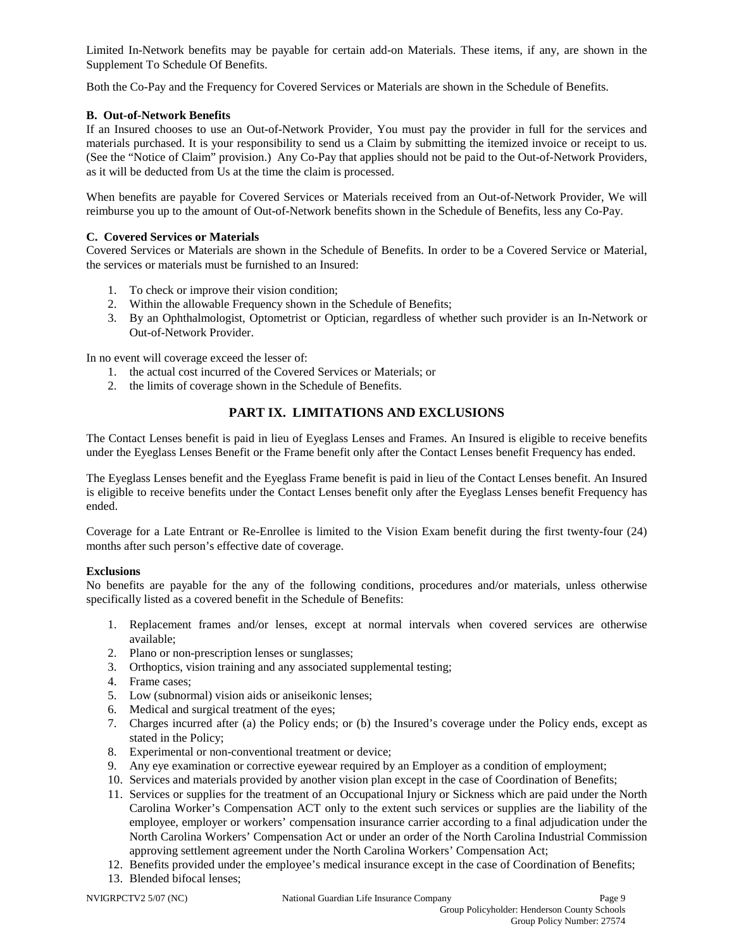Limited In-Network benefits may be payable for certain add-on Materials. These items, if any, are shown in the Supplement To Schedule Of Benefits.

Both the Co-Pay and the Frequency for Covered Services or Materials are shown in the Schedule of Benefits.

## **B. Out-of-Network Benefits**

If an Insured chooses to use an Out-of-Network Provider, You must pay the provider in full for the services and materials purchased. It is your responsibility to send us a Claim by submitting the itemized invoice or receipt to us. (See the "Notice of Claim" provision.) Any Co-Pay that applies should not be paid to the Out-of-Network Providers, as it will be deducted from Us at the time the claim is processed.

When benefits are payable for Covered Services or Materials received from an Out-of-Network Provider, We will reimburse you up to the amount of Out-of-Network benefits shown in the Schedule of Benefits, less any Co-Pay.

## **C. Covered Services or Materials**

Covered Services or Materials are shown in the Schedule of Benefits. In order to be a Covered Service or Material, the services or materials must be furnished to an Insured:

- 1. To check or improve their vision condition;
- 2. Within the allowable Frequency shown in the Schedule of Benefits;
- 3. By an Ophthalmologist, Optometrist or Optician, regardless of whether such provider is an In-Network or Out-of-Network Provider.

In no event will coverage exceed the lesser of:

- 1. the actual cost incurred of the Covered Services or Materials; or
- 2. the limits of coverage shown in the Schedule of Benefits.

# **PART IX. LIMITATIONS AND EXCLUSIONS**

The Contact Lenses benefit is paid in lieu of Eyeglass Lenses and Frames. An Insured is eligible to receive benefits under the Eyeglass Lenses Benefit or the Frame benefit only after the Contact Lenses benefit Frequency has ended.

The Eyeglass Lenses benefit and the Eyeglass Frame benefit is paid in lieu of the Contact Lenses benefit. An Insured is eligible to receive benefits under the Contact Lenses benefit only after the Eyeglass Lenses benefit Frequency has ended.

Coverage for a Late Entrant or Re-Enrollee is limited to the Vision Exam benefit during the first twenty-four (24) months after such person's effective date of coverage.

## **Exclusions**

No benefits are payable for the any of the following conditions, procedures and/or materials, unless otherwise specifically listed as a covered benefit in the Schedule of Benefits:

- 1. Replacement frames and/or lenses, except at normal intervals when covered services are otherwise available;
- 2. Plano or non-prescription lenses or sunglasses;
- 3. Orthoptics, vision training and any associated supplemental testing;
- 4. Frame cases;
- 5. Low (subnormal) vision aids or aniseikonic lenses;
- 6. Medical and surgical treatment of the eyes;
- 7. Charges incurred after (a) the Policy ends; or (b) the Insured's coverage under the Policy ends, except as stated in the Policy;
- 8. Experimental or non-conventional treatment or device;
- 9. Any eye examination or corrective eyewear required by an Employer as a condition of employment;
- 10. Services and materials provided by another vision plan except in the case of Coordination of Benefits;
- 11. Services or supplies for the treatment of an Occupational Injury or Sickness which are paid under the North Carolina Worker's Compensation ACT only to the extent such services or supplies are the liability of the employee, employer or workers' compensation insurance carrier according to a final adjudication under the North Carolina Workers' Compensation Act or under an order of the North Carolina Industrial Commission approving settlement agreement under the North Carolina Workers' Compensation Act;
- 12. Benefits provided under the employee's medical insurance except in the case of Coordination of Benefits;
- 13. Blended bifocal lenses;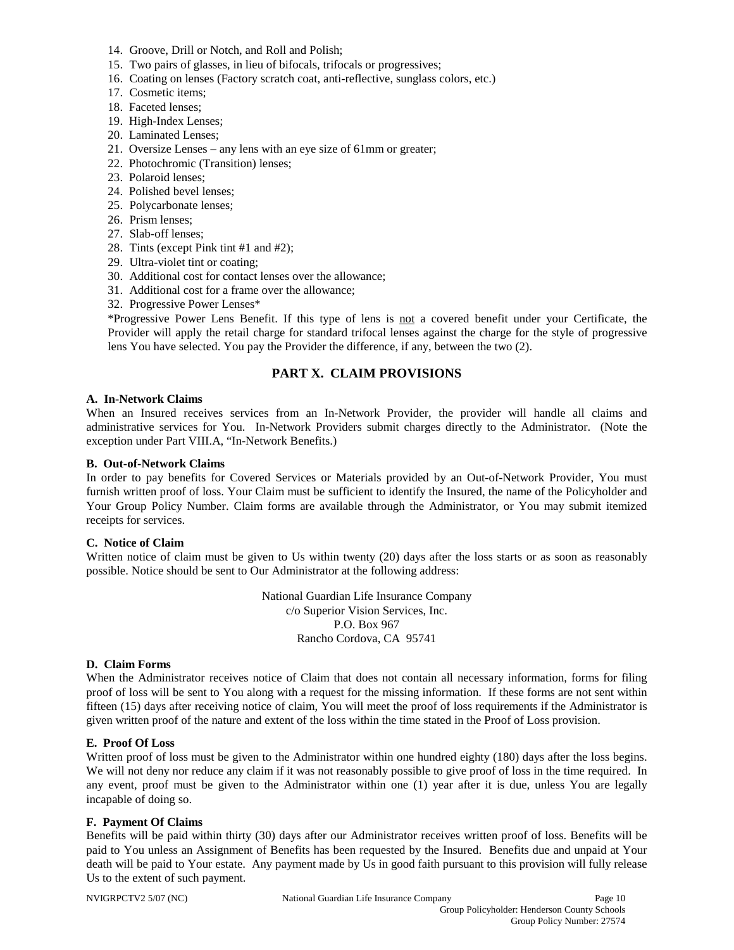- 14. Groove, Drill or Notch, and Roll and Polish;
- 15. Two pairs of glasses, in lieu of bifocals, trifocals or progressives;
- 16. Coating on lenses (Factory scratch coat, anti-reflective, sunglass colors, etc.)
- 17. Cosmetic items;
- 18. Faceted lenses;
- 19. High-Index Lenses;
- 20. Laminated Lenses;
- 21. Oversize Lenses any lens with an eye size of 61mm or greater;
- 22. Photochromic (Transition) lenses;
- 23. Polaroid lenses;
- 24. Polished bevel lenses;
- 25. Polycarbonate lenses;
- 26. Prism lenses;
- 27. Slab-off lenses;
- 28. Tints (except Pink tint #1 and #2);
- 29. Ultra-violet tint or coating;
- 30. Additional cost for contact lenses over the allowance;
- 31. Additional cost for a frame over the allowance;
- 32. Progressive Power Lenses\*

\*Progressive Power Lens Benefit. If this type of lens is not a covered benefit under your Certificate, the Provider will apply the retail charge for standard trifocal lenses against the charge for the style of progressive lens You have selected. You pay the Provider the difference, if any, between the two (2).

## **PART X. CLAIM PROVISIONS**

#### **A. In-Network Claims**

When an Insured receives services from an In-Network Provider, the provider will handle all claims and administrative services for You. In-Network Providers submit charges directly to the Administrator. (Note the exception under Part VIII.A, "In-Network Benefits.)

#### **B. Out-of-Network Claims**

In order to pay benefits for Covered Services or Materials provided by an Out-of-Network Provider, You must furnish written proof of loss. Your Claim must be sufficient to identify the Insured, the name of the Policyholder and Your Group Policy Number. Claim forms are available through the Administrator, or You may submit itemized receipts for services.

#### **C. Notice of Claim**

Written notice of claim must be given to Us within twenty (20) days after the loss starts or as soon as reasonably possible. Notice should be sent to Our Administrator at the following address:

> National Guardian Life Insurance Company c/o Superior Vision Services, Inc. P.O. Box 967 Rancho Cordova, CA 95741

#### **D. Claim Forms**

When the Administrator receives notice of Claim that does not contain all necessary information, forms for filing proof of loss will be sent to You along with a request for the missing information. If these forms are not sent within fifteen (15) days after receiving notice of claim, You will meet the proof of loss requirements if the Administrator is given written proof of the nature and extent of the loss within the time stated in the Proof of Loss provision.

## **E. Proof Of Loss**

Written proof of loss must be given to the Administrator within one hundred eighty (180) days after the loss begins. We will not deny nor reduce any claim if it was not reasonably possible to give proof of loss in the time required. In any event, proof must be given to the Administrator within one (1) year after it is due, unless You are legally incapable of doing so.

## **F. Payment Of Claims**

Benefits will be paid within thirty (30) days after our Administrator receives written proof of loss. Benefits will be paid to You unless an Assignment of Benefits has been requested by the Insured. Benefits due and unpaid at Your death will be paid to Your estate. Any payment made by Us in good faith pursuant to this provision will fully release Us to the extent of such payment.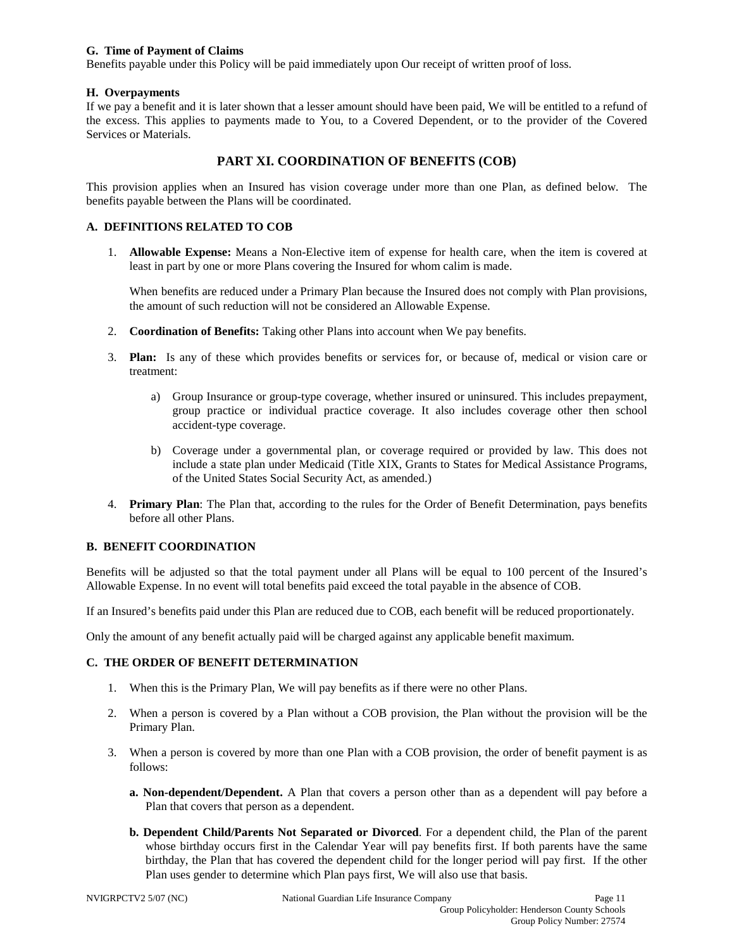### **G. Time of Payment of Claims**

Benefits payable under this Policy will be paid immediately upon Our receipt of written proof of loss.

### **H. Overpayments**

If we pay a benefit and it is later shown that a lesser amount should have been paid, We will be entitled to a refund of the excess. This applies to payments made to You, to a Covered Dependent, or to the provider of the Covered Services or Materials.

## **PART XI. COORDINATION OF BENEFITS (COB)**

This provision applies when an Insured has vision coverage under more than one Plan, as defined below. The benefits payable between the Plans will be coordinated.

## **A. DEFINITIONS RELATED TO COB**

1. **Allowable Expense:** Means a Non-Elective item of expense for health care, when the item is covered at least in part by one or more Plans covering the Insured for whom calim is made.

When benefits are reduced under a Primary Plan because the Insured does not comply with Plan provisions, the amount of such reduction will not be considered an Allowable Expense.

- 2. **Coordination of Benefits:** Taking other Plans into account when We pay benefits.
- 3. **Plan:** Is any of these which provides benefits or services for, or because of, medical or vision care or treatment:
	- a) Group Insurance or group-type coverage, whether insured or uninsured. This includes prepayment, group practice or individual practice coverage. It also includes coverage other then school accident-type coverage.
	- b) Coverage under a governmental plan, or coverage required or provided by law. This does not include a state plan under Medicaid (Title XIX, Grants to States for Medical Assistance Programs, of the United States Social Security Act, as amended.)
- 4. **Primary Plan**: The Plan that, according to the rules for the Order of Benefit Determination, pays benefits before all other Plans.

## **B. BENEFIT COORDINATION**

Benefits will be adjusted so that the total payment under all Plans will be equal to 100 percent of the Insured's Allowable Expense. In no event will total benefits paid exceed the total payable in the absence of COB.

If an Insured's benefits paid under this Plan are reduced due to COB, each benefit will be reduced proportionately.

Only the amount of any benefit actually paid will be charged against any applicable benefit maximum.

## **C. THE ORDER OF BENEFIT DETERMINATION**

- 1. When this is the Primary Plan, We will pay benefits as if there were no other Plans.
- 2. When a person is covered by a Plan without a COB provision, the Plan without the provision will be the Primary Plan.
- 3. When a person is covered by more than one Plan with a COB provision, the order of benefit payment is as follows:
	- **a. Non-dependent/Dependent.** A Plan that covers a person other than as a dependent will pay before a Plan that covers that person as a dependent.
	- **b. Dependent Child/Parents Not Separated or Divorced**. For a dependent child, the Plan of the parent whose birthday occurs first in the Calendar Year will pay benefits first. If both parents have the same birthday, the Plan that has covered the dependent child for the longer period will pay first. If the other Plan uses gender to determine which Plan pays first, We will also use that basis.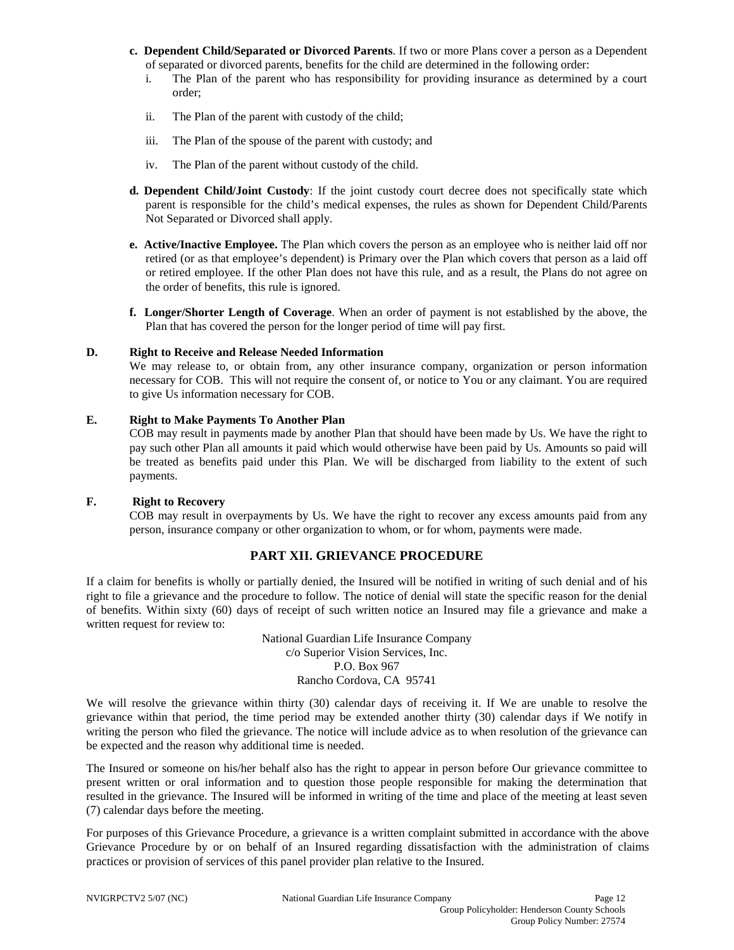- **c. Dependent Child/Separated or Divorced Parents**. If two or more Plans cover a person as a Dependent of separated or divorced parents, benefits for the child are determined in the following order:
	- i. The Plan of the parent who has responsibility for providing insurance as determined by a court order;
	- ii. The Plan of the parent with custody of the child;
	- iii. The Plan of the spouse of the parent with custody; and
	- iv. The Plan of the parent without custody of the child.
- **d. Dependent Child/Joint Custody**: If the joint custody court decree does not specifically state which parent is responsible for the child's medical expenses, the rules as shown for Dependent Child/Parents Not Separated or Divorced shall apply.
- **e. Active/Inactive Employee.** The Plan which covers the person as an employee who is neither laid off nor retired (or as that employee's dependent) is Primary over the Plan which covers that person as a laid off or retired employee. If the other Plan does not have this rule, and as a result, the Plans do not agree on the order of benefits, this rule is ignored.
- **f. Longer/Shorter Length of Coverage**. When an order of payment is not established by the above, the Plan that has covered the person for the longer period of time will pay first.

#### **D. Right to Receive and Release Needed Information**

We may release to, or obtain from, any other insurance company, organization or person information necessary for COB. This will not require the consent of, or notice to You or any claimant. You are required to give Us information necessary for COB.

### **E. Right to Make Payments To Another Plan**

COB may result in payments made by another Plan that should have been made by Us. We have the right to pay such other Plan all amounts it paid which would otherwise have been paid by Us. Amounts so paid will be treated as benefits paid under this Plan. We will be discharged from liability to the extent of such payments.

## **F. Right to Recovery**

COB may result in overpayments by Us. We have the right to recover any excess amounts paid from any person, insurance company or other organization to whom, or for whom, payments were made.

## **PART XII. GRIEVANCE PROCEDURE**

If a claim for benefits is wholly or partially denied, the Insured will be notified in writing of such denial and of his right to file a grievance and the procedure to follow. The notice of denial will state the specific reason for the denial of benefits. Within sixty (60) days of receipt of such written notice an Insured may file a grievance and make a written request for review to:

> National Guardian Life Insurance Company c/o Superior Vision Services, Inc. P.O. Box 967 Rancho Cordova, CA 95741

We will resolve the grievance within thirty (30) calendar days of receiving it. If We are unable to resolve the grievance within that period, the time period may be extended another thirty (30) calendar days if We notify in writing the person who filed the grievance. The notice will include advice as to when resolution of the grievance can be expected and the reason why additional time is needed.

The Insured or someone on his/her behalf also has the right to appear in person before Our grievance committee to present written or oral information and to question those people responsible for making the determination that resulted in the grievance. The Insured will be informed in writing of the time and place of the meeting at least seven (7) calendar days before the meeting.

For purposes of this Grievance Procedure, a grievance is a written complaint submitted in accordance with the above Grievance Procedure by or on behalf of an Insured regarding dissatisfaction with the administration of claims practices or provision of services of this panel provider plan relative to the Insured.